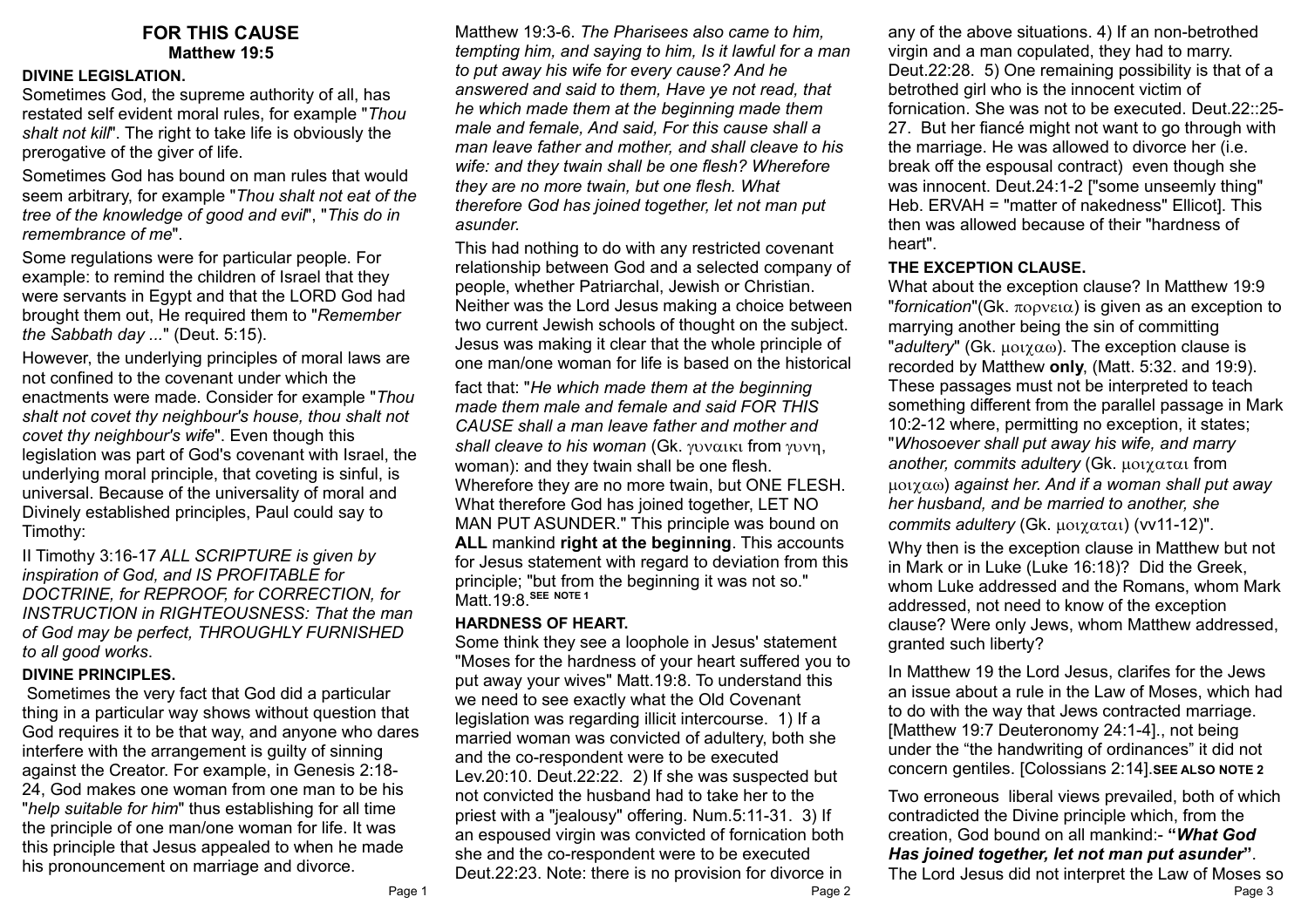## **FOR THIS CAUSE Matthew 19:5**

### **DIVINE LEGISLATION.**

Sometimes God, the supreme authority of all, has restated self evident moral rules, for example "*Thou shalt not kill*". The right to take life is obviously the prerogative of the giver of life.

Sometimes God has bound on man rules that would seem arbitrary, for example "*Thou shalt not eat of the tree of the knowledge of good and evil*", "*This do in remembrance of me*".

Some regulations were for particular people. For example: to remind the children of Israel that they were servants in Egypt and that the LORD God had brought them out, He required them to "*Remember the Sabbath day ...*" (Deut. 5:15).

However, the underlying principles of moral laws are not confined to the covenant under which the enactments were made. Consider for example "*Thou shalt not covet thy neighbour's house, thou shalt not covet thy neighbour's wife*". Even though this legislation was part of God's covenant with Israel, the underlying moral principle, that coveting is sinful, is universal. Because of the universality of moral and Divinely established principles, Paul could say to Timothy:

II Timothy 3:16-17 *ALL SCRIPTURE is given by inspiration of God, and IS PROFITABLE for DOCTRINE, for REPROOF, for CORRECTION, for INSTRUCTION in RIGHTEOUSNESS: That the man of God may be perfect, THROUGHLY FURNISHED to all good works*.

### **DIVINE PRINCIPLES.**

 Sometimes the very fact that God did a particular thing in a particular way shows without question that God requires it to be that way, and anyone who dares interfere with the arrangement is guilty of sinning against the Creator. For example, in Genesis 2:18- 24, God makes one woman from one man to be his "*help suitable for him*" thus establishing for all time the principle of one man/one woman for life. It was this principle that Jesus appealed to when he made his pronouncement on marriage and divorce.

Matthew 19:3-6. *The Pharisees also came to him, tempting him, and saying to him, Is it lawful for a man to put away his wife for every cause? And he answered and said to them, Have ye not read, that he which made them at the beginning made them male and female, And said, For this cause shall a man leave father and mother, and shall cleave to his wife: and they twain shall be one flesh? Wherefore they are no more twain, but one flesh. What therefore God has joined together, let not man put asunder.*

This had nothing to do with any restricted covenant relationship between God and a selected company of people, whether Patriarchal, Jewish or Christian. Neither was the Lord Jesus making a choice between two current Jewish schools of thought on the subject. Jesus was making it clear that the whole principle of one man/one woman for life is based on the historical

fact that: "*He which made them at the beginning made them male and female and said FOR THIS CAUSE shall a man leave father and mother and shall cleave to his woman* (Gk. γυναικι from γυνη, woman): and they twain shall be one flesh. Wherefore they are no more twain, but ONE FLESH. What therefore God has joined together, LET NO MAN PUT ASUNDER." This principle was bound on **ALL** mankind **right at the beginning**. This accounts for Jesus statement with regard to deviation from this principle; "but from the beginning it was not so." Matt.19:8.**SEE NOTE 1**

#### **HARDNESS OF HEART.**

Some think they see a loophole in Jesus' statement "Moses for the hardness of your heart suffered you to put away your wives" Matt.19:8. To understand this we need to see exactly what the Old Covenant legislation was regarding illicit intercourse. 1) If a married woman was convicted of adultery, both she and the co-respondent were to be executed Lev.20:10. Deut.22:22. 2) If she was suspected but not convicted the husband had to take her to the priest with a "jealousy" offering. Num.5:11-31. 3) If an espoused virgin was convicted of fornication both she and the co-respondent were to be executed Deut.22:23. Note: there is no provision for divorce in

any of the above situations. 4) If an non-betrothed virgin and a man copulated, they had to marry. Deut.22:28. 5) One remaining possibility is that of a betrothed girl who is the innocent victim of fornication. She was not to be executed. Deut.22::25- 27. But her fiancé might not want to go through with the marriage. He was allowed to divorce her (i.e. break off the espousal contract) even though she was innocent. Deut.24:1-2 ["some unseemly thing" Heb. ERVAH = "matter of nakedness" Ellicot]. This then was allowed because of their "hardness of heart".

#### **THE EXCEPTION CLAUSE.**

What about the exception clause? In Matthew 19:9 "*fornication*"(Gk.  $\pi$ o  $\varphi$  v  $\varphi$ ) is given as an exception to marrying another being the sin of committing "*adultery*" (Gk.  $\mu$ ot $\gamma$ αω). The exception clause is recorded by Matthew **only**, (Matt. 5:32. and 19:9). These passages must not be interpreted to teach something different from the parallel passage in Mark 10:2-12 where, permitting no exception, it states; "*Whosoever shall put away his wife, and marry another, commits adultery (Gk. μοιχαται from*) ) *against her. And if a woman shall put away her husband, and be married to another, she commits adultery* (Gk.  $\mu$ oi $\gamma$  $\alpha$  $\tau$  $\alpha$ i) (vv11-12)".

Why then is the exception clause in Matthew but not in Mark or in Luke (Luke 16:18)? Did the Greek, whom Luke addressed and the Romans, whom Mark addressed, not need to know of the exception clause? Were only Jews, whom Matthew addressed, granted such liberty?

In Matthew 19 the Lord Jesus, clarifes for the Jews an issue about a rule in the Law of Moses, which had to do with the way that Jews contracted marriage. [Matthew 19:7 Deuteronomy 24:1-4]., not being under the "the handwriting of ordinances" it did not concern gentiles. [Colossians 2:14].**SEE ALSO NOTE 2**

Two erroneous liberal views prevailed, both of which contradicted the Divine principle which, from the creation, God bound on all mankind:- **"***What God Has joined together, let not man put asunder***"**.

The Lord Jesus did not interpret the Law of Moses so Page 1 Page 2 Page 3 Page 2 Page 2 Page 2 Page 2 Page 2 Page 3 Page 3 Page 3 Page 3 Page 3 Page 3 Page 3 Page 3